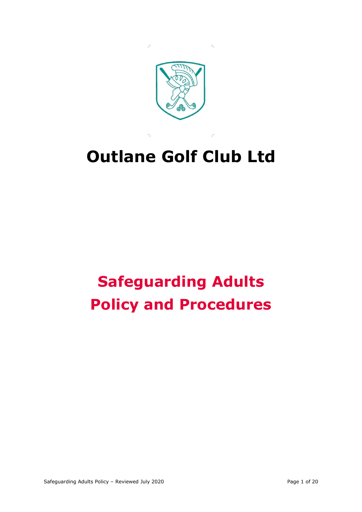

 $\mathbf{L}$ 

 $\mathbf{u}$ 

# **Outlane Golf Club Ltd**

# **Safeguarding Adults Policy and Procedures**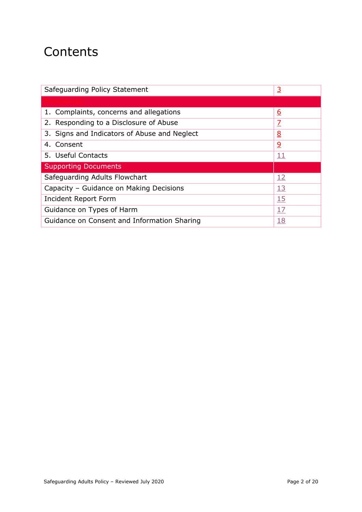## **Contents**

| Safeguarding Policy Statement                | <u>3</u>                 |
|----------------------------------------------|--------------------------|
|                                              |                          |
| 1. Complaints, concerns and allegations      | <u>6</u>                 |
| 2. Responding to a Disclosure of Abuse       | $\overline{\mathcal{I}}$ |
| 3. Signs and Indicators of Abuse and Neglect | <u>8</u>                 |
| 4. Consent                                   | <u>و</u>                 |
| 5. Useful Contacts                           | <u> 11</u>               |
| <b>Supporting Documents</b>                  |                          |
| Safeguarding Adults Flowchart                | <u>12</u>                |
| Capacity - Guidance on Making Decisions      | <u>13</u>                |
| Incident Report Form                         | 15                       |
| Guidance on Types of Harm                    | 17                       |
| Guidance on Consent and Information Sharing  | <u>18</u>                |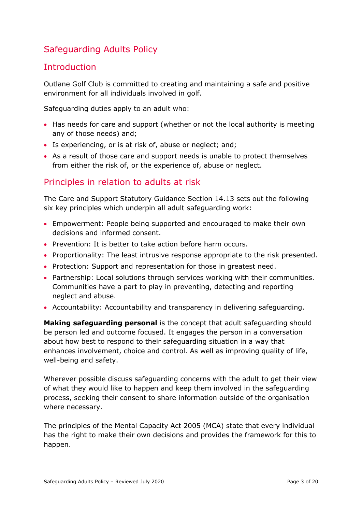## Safeguarding Adults Policy

## <span id="page-2-0"></span>**Introduction**

Outlane Golf Club is committed to creating and maintaining a safe and positive environment for all individuals involved in golf.

Safeguarding duties apply to an adult who:

- Has needs for care and support (whether or not the local authority is meeting any of those needs) and;
- Is experiencing, or is at risk of, abuse or neglect; and;
- As a result of those care and support needs is unable to protect themselves from either the risk of, or the experience of, abuse or neglect.

## Principles in relation to adults at risk

The Care and Support Statutory Guidance Section 14.13 sets out the following six key principles which underpin all adult safeguarding work:

- Empowerment: People being supported and encouraged to make their own decisions and informed consent.
- Prevention: It is better to take action before harm occurs.
- Proportionality: The least intrusive response appropriate to the risk presented.
- Protection: Support and representation for those in greatest need.
- Partnership: Local solutions through services working with their communities. Communities have a part to play in preventing, detecting and reporting neglect and abuse.
- Accountability: Accountability and transparency in delivering safeguarding.

**Making safeguarding personal** is the concept that adult safeguarding should be person led and outcome focused. It engages the person in a conversation about how best to respond to their safeguarding situation in a way that enhances involvement, choice and control. As well as improving quality of life, well-being and safety.

Wherever possible discuss safeguarding concerns with the adult to get their view of what they would like to happen and keep them involved in the safeguarding process, seeking their consent to share information outside of the organisation where necessary.

The principles of the Mental Capacity Act 2005 (MCA) state that every individual has the right to make their own decisions and provides the framework for this to happen.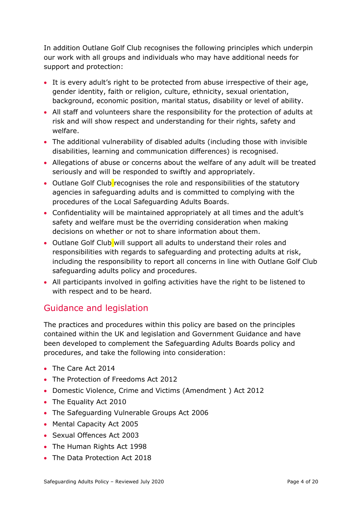In addition Outlane Golf Club recognises the following principles which underpin our work with all groups and individuals who may have additional needs for support and protection:

- It is every adult's right to be protected from abuse irrespective of their age, gender identity, faith or religion, culture, ethnicity, sexual orientation, background, economic position, marital status, disability or level of ability.
- All staff and volunteers share the responsibility for the protection of adults at risk and will show respect and understanding for their rights, safety and welfare.
- The additional vulnerability of disabled adults (including those with invisible disabilities, learning and communication differences) is recognised.
- Allegations of abuse or concerns about the welfare of any adult will be treated seriously and will be responded to swiftly and appropriately.
- Outlane Golf Club recognises the role and responsibilities of the statutory agencies in safeguarding adults and is committed to complying with the procedures of the Local Safeguarding Adults Boards.
- Confidentiality will be maintained appropriately at all times and the adult's safety and welfare must be the overriding consideration when making decisions on whether or not to share information about them.
- Outlane Golf Club will support all adults to understand their roles and responsibilities with regards to safeguarding and protecting adults at risk, including the responsibility to report all concerns in line with Outlane Golf Club safeguarding adults policy and procedures.
- All participants involved in golfing activities have the right to be listened to with respect and to be heard.

## Guidance and legislation

The practices and procedures within this policy are based on the principles contained within the UK and legislation and Government Guidance and have been developed to complement the Safeguarding Adults Boards policy and procedures, and take the following into consideration:

- The Care Act 2014
- The Protection of Freedoms Act 2012
- Domestic Violence, Crime and Victims (Amendment ) Act 2012
- The Equality Act 2010
- The Safeguarding Vulnerable Groups Act 2006
- Mental Capacity Act 2005
- Sexual Offences Act 2003
- The Human Rights Act 1998
- The Data Protection Act 2018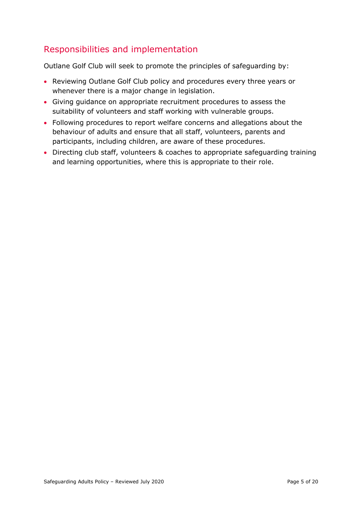## Responsibilities and implementation

Outlane Golf Club will seek to promote the principles of safeguarding by:

- Reviewing Outlane Golf Club policy and procedures every three years or whenever there is a major change in legislation.
- Giving guidance on appropriate recruitment procedures to assess the suitability of volunteers and staff working with vulnerable groups.
- Following procedures to report welfare concerns and allegations about the behaviour of adults and ensure that all staff, volunteers, parents and participants, including children, are aware of these procedures.
- <span id="page-4-0"></span>• Directing club staff, volunteers & coaches to appropriate safeguarding training and learning opportunities, where this is appropriate to their role.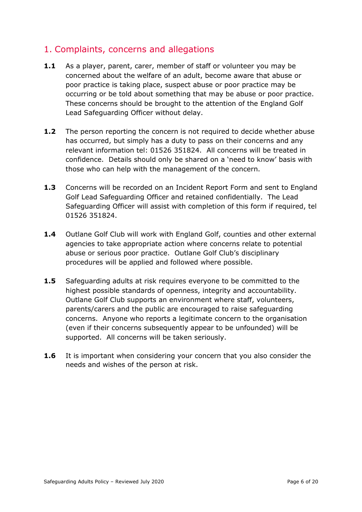## 1. Complaints, concerns and allegations

- **1.1** As a player, parent, carer, member of staff or volunteer you may be concerned about the welfare of an adult, become aware that abuse or poor practice is taking place, suspect abuse or poor practice may be occurring or be told about something that may be abuse or poor practice. These concerns should be brought to the attention of the England Golf Lead Safeguarding Officer without delay.
- **1.2** The person reporting the concern is not required to decide whether abuse has occurred, but simply has a duty to pass on their concerns and any relevant information tel: 01526 351824. All concerns will be treated in confidence. Details should only be shared on a 'need to know' basis with those who can help with the management of the concern.
- **1.3** Concerns will be recorded on an Incident Report Form and sent to England Golf Lead Safeguarding Officer and retained confidentially. The Lead Safeguarding Officer will assist with completion of this form if required, tel 01526 351824.
- **1.4** Outlane Golf Club will work with England Golf, counties and other external agencies to take appropriate action where concerns relate to potential abuse or serious poor practice. Outlane Golf Club's disciplinary procedures will be applied and followed where possible.
- **1.5** Safeguarding adults at risk requires everyone to be committed to the highest possible standards of openness, integrity and accountability. Outlane Golf Club supports an environment where staff, volunteers, parents/carers and the public are encouraged to raise safeguarding concerns. Anyone who reports a legitimate concern to the organisation (even if their concerns subsequently appear to be unfounded) will be supported. All concerns will be taken seriously.
- **1.6** It is important when considering your concern that you also consider the needs and wishes of the person at risk.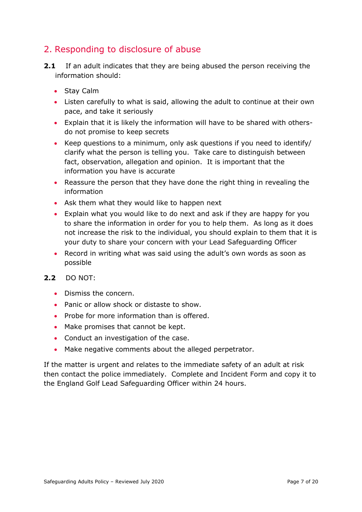## <span id="page-6-0"></span>2. Responding to disclosure of abuse

- **2.1** If an adult indicates that they are being abused the person receiving the information should:
	- Stay Calm
	- Listen carefully to what is said, allowing the adult to continue at their own pace, and take it seriously
	- Explain that it is likely the information will have to be shared with othersdo not promise to keep secrets
	- Keep questions to a minimum, only ask questions if you need to identify/ clarify what the person is telling you. Take care to distinguish between fact, observation, allegation and opinion. It is important that the information you have is accurate
	- Reassure the person that they have done the right thing in revealing the information
	- Ask them what they would like to happen next
	- Explain what you would like to do next and ask if they are happy for you to share the information in order for you to help them. As long as it does not increase the risk to the individual, you should explain to them that it is your duty to share your concern with your Lead Safeguarding Officer
	- Record in writing what was said using the adult's own words as soon as possible

#### **2.2** DO NOT:

- Dismiss the concern.
- Panic or allow shock or distaste to show.
- Probe for more information than is offered.
- Make promises that cannot be kept.
- Conduct an investigation of the case.
- Make negative comments about the alleged perpetrator.

If the matter is urgent and relates to the immediate safety of an adult at risk then contact the police immediately. Complete and Incident Form and copy it to the England Golf Lead Safeguarding Officer within 24 hours.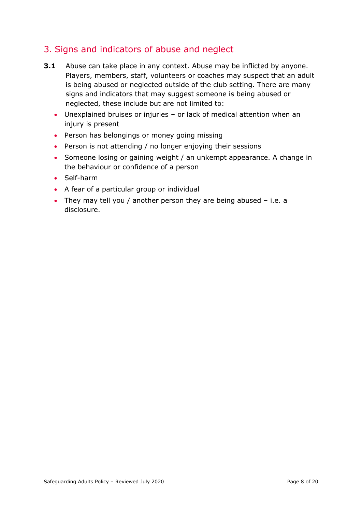## <span id="page-7-0"></span>3. Signs and indicators of abuse and neglect

- **3.1** Abuse can take place in any context. Abuse may be inflicted by anyone. Players, members, staff, volunteers or coaches may suspect that an adult is being abused or neglected outside of the club setting. There are many signs and indicators that may suggest someone is being abused or neglected, these include but are not limited to:
	- Unexplained bruises or injuries or lack of medical attention when an injury is present
	- Person has belongings or money going missing
	- Person is not attending / no longer enjoying their sessions
	- Someone losing or gaining weight / an unkempt appearance. A change in the behaviour or confidence of a person
	- Self-harm
	- A fear of a particular group or individual
	- They may tell you / another person they are being abused i.e. a disclosure.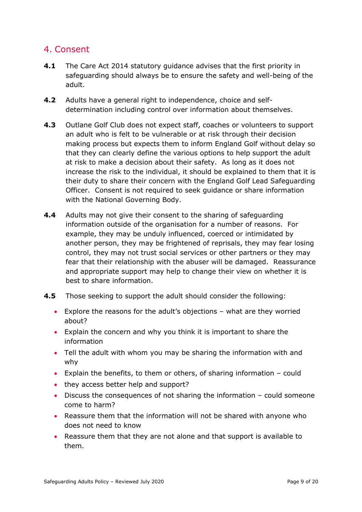## <span id="page-8-0"></span>4. Consent

- **4.1** The Care Act 2014 statutory guidance advises that the first priority in safeguarding should always be to ensure the safety and well-being of the adult.
- **4.2** Adults have a general right to independence, choice and selfdetermination including control over information about themselves.
- **4.3** Outlane Golf Club does not expect staff, coaches or volunteers to support an adult who is felt to be vulnerable or at risk through their decision making process but expects them to inform England Golf without delay so that they can clearly define the various options to help support the adult at risk to make a decision about their safety. As long as it does not increase the risk to the individual, it should be explained to them that it is their duty to share their concern with the England Golf Lead Safeguarding Officer. Consent is not required to seek guidance or share information with the National Governing Body.
- **4.4** Adults may not give their consent to the sharing of safeguarding information outside of the organisation for a number of reasons. For example, they may be unduly influenced, coerced or intimidated by another person, they may be frightened of reprisals, they may fear losing control, they may not trust social services or other partners or they may fear that their relationship with the abuser will be damaged. Reassurance and appropriate support may help to change their view on whether it is best to share information.
- **4.5** Those seeking to support the adult should consider the following:
	- Explore the reasons for the adult's objections what are they worried about?
	- Explain the concern and why you think it is important to share the information
	- Tell the adult with whom you may be sharing the information with and why
	- Explain the benefits, to them or others, of sharing information could
	- they access better help and support?
	- Discuss the consequences of not sharing the information could someone come to harm?
	- Reassure them that the information will not be shared with anyone who does not need to know
	- Reassure them that they are not alone and that support is available to them.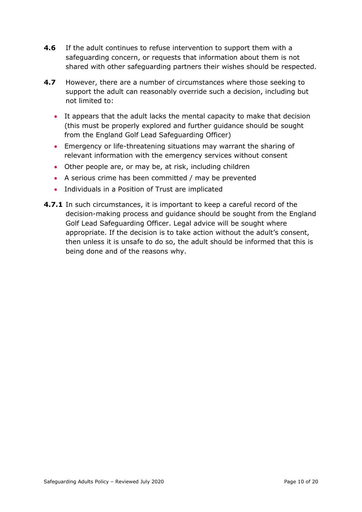- **4.6** If the adult continues to refuse intervention to support them with a safeguarding concern, or requests that information about them is not shared with other safeguarding partners their wishes should be respected.
- **4.7** However, there are a number of circumstances where those seeking to support the adult can reasonably override such a decision, including but not limited to:
	- It appears that the adult lacks the mental capacity to make that decision (this must be properly explored and further guidance should be sought from the England Golf Lead Safeguarding Officer)
	- Emergency or life-threatening situations may warrant the sharing of relevant information with the emergency services without consent
	- Other people are, or may be, at risk, including children
	- A serious crime has been committed / may be prevented
	- Individuals in a Position of Trust are implicated
- <span id="page-9-0"></span>**4.7.1** In such circumstances, it is important to keep a careful record of the decision-making process and guidance should be sought from the England Golf Lead Safeguarding Officer. Legal advice will be sought where appropriate. If the decision is to take action without the adult's consent, then unless it is unsafe to do so, the adult should be informed that this is being done and of the reasons why.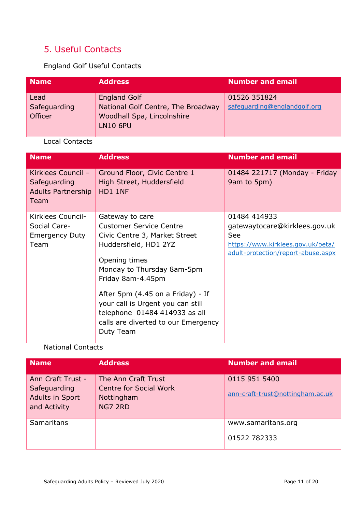## 5. Useful Contacts

England Golf Useful Contacts

| <b>Name</b>                     | <b>Address</b>                                                                                             | <b>Number and email</b>                      |
|---------------------------------|------------------------------------------------------------------------------------------------------------|----------------------------------------------|
| Lead<br>Safeguarding<br>Officer | <b>England Golf</b><br>National Golf Centre, The Broadway<br>Woodhall Spa, Lincolnshire<br><b>LN10 6PU</b> | 01526 351824<br>safeguarding@englandgolf.org |

#### Local Contacts

| <b>Name</b>                                                             | <b>Address</b>                                                                                                                                              | <b>Number and email</b>                                                 |
|-------------------------------------------------------------------------|-------------------------------------------------------------------------------------------------------------------------------------------------------------|-------------------------------------------------------------------------|
| Kirklees Council -<br>Safeguarding<br><b>Adults Partnership</b><br>Team | Ground Floor, Civic Centre 1<br>High Street, Huddersfield<br>HD1 1NF                                                                                        | 01484 221717 (Monday - Friday<br>9am to 5pm)                            |
| Kirklees Council-                                                       | Gateway to care                                                                                                                                             | 01484 414933                                                            |
| Social Care-                                                            | <b>Customer Service Centre</b>                                                                                                                              | gatewaytocare@kirklees.gov.uk                                           |
| <b>Emergency Duty</b>                                                   | Civic Centre 3, Market Street                                                                                                                               | See                                                                     |
| Team                                                                    | Huddersfield, HD1 2YZ                                                                                                                                       | https://www.kirklees.gov.uk/beta/<br>adult-protection/report-abuse.aspx |
|                                                                         | Opening times                                                                                                                                               |                                                                         |
|                                                                         | Monday to Thursday 8am-5pm                                                                                                                                  |                                                                         |
|                                                                         | Friday 8am-4.45pm                                                                                                                                           |                                                                         |
|                                                                         | After 5pm (4.45 on a Friday) - If<br>your call is Urgent you can still<br>telephone 01484 414933 as all<br>calls are diverted to our Emergency<br>Duty Team |                                                                         |

#### National Contacts

| <b>Name</b>                                                          | <b>Address</b>                                                                | <b>Number and email</b>                           |
|----------------------------------------------------------------------|-------------------------------------------------------------------------------|---------------------------------------------------|
| Ann Craft Trust -<br>Safeguarding<br>Adults in Sport<br>and Activity | The Ann Craft Trust<br><b>Centre for Social Work</b><br>Nottingham<br>NG7 2RD | 0115 951 5400<br>ann-craft-trust@nottingham.ac.uk |
| <b>Samaritans</b>                                                    |                                                                               | www.samaritans.org<br>01522 782333                |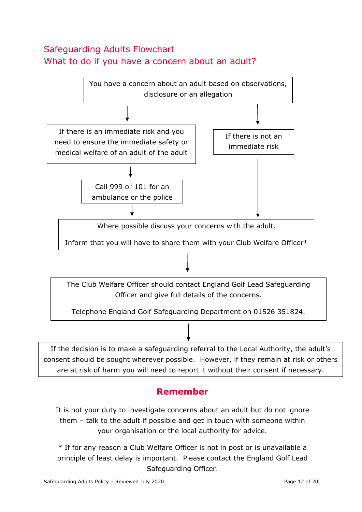## <span id="page-11-0"></span>Safeguarding Adults Flowchart What to do if you have a concern about an adult?



## **Remember**

It is not your duty to investigate concerns about an adult but do not ignore them – talk to the adult if possible and get in touch with someone within your organisation or the local authority for advice.

\* If for any reason a Club Welfare Officer is not in post or is unavailable a principle of least delay is important. Please contact the England Golf Lead Safeguarding Officer.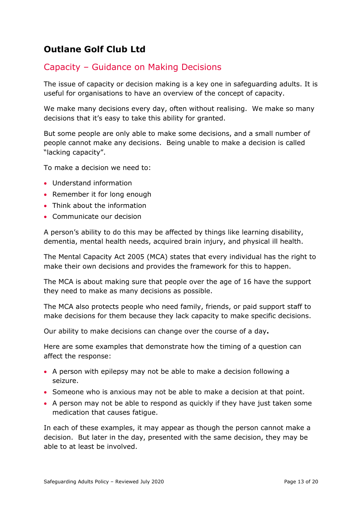## <span id="page-12-0"></span>**Outlane Golf Club Ltd**

## Capacity – Guidance on Making Decisions

The issue of capacity or decision making is a key one in safeguarding adults. It is useful for organisations to have an overview of the concept of capacity.

We make many decisions every day, often without realising. We make so many decisions that it's easy to take this ability for granted.

But some people are only able to make some decisions, and a small number of people cannot make any decisions. Being unable to make a decision is called "lacking capacity".

To make a decision we need to:

- Understand information
- Remember it for long enough
- Think about the information
- Communicate our decision

A person's ability to do this may be affected by things like learning disability, dementia, mental health needs, acquired brain injury, and physical ill health.

The Mental Capacity Act 2005 (MCA) states that every individual has the right to make their own decisions and provides the framework for this to happen.

The MCA is about making sure that people over the age of 16 have the support they need to make as many decisions as possible.

The MCA also protects people who need family, friends, or paid support staff to make decisions for them because they lack capacity to make specific decisions.

Our ability to make decisions can change over the course of a day**.**

Here are some examples that demonstrate how the timing of a question can affect the response:

- A person with epilepsy may not be able to make a decision following a seizure.
- Someone who is anxious may not be able to make a decision at that point.
- A person may not be able to respond as quickly if they have just taken some medication that causes fatigue.

In each of these examples, it may appear as though the person cannot make a decision. But later in the day, presented with the same decision, they may be able to at least be involved.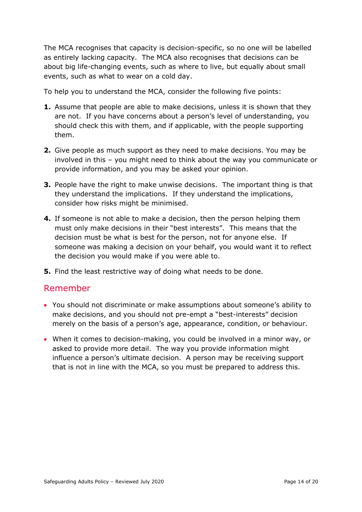The MCA recognises that capacity is decision-specific, so no one will be labelled as entirely lacking capacity. The MCA also recognises that decisions can be about big life-changing events, such as where to live, but equally about small events, such as what to wear on a cold day.

To help you to understand the MCA, consider the following five points:

- **1.** Assume that people are able to make decisions, unless it is shown that they are not. If you have concerns about a person's level of understanding, you should check this with them, and if applicable, with the people supporting them.
- **2.** Give people as much support as they need to make decisions. You may be involved in this – you might need to think about the way you communicate or provide information, and you may be asked your opinion.
- **3.** People have the right to make unwise decisions. The important thing is that they understand the implications. If they understand the implications, consider how risks might be minimised.
- **4.** If someone is not able to make a decision, then the person helping them must only make decisions in their "best interests". This means that the decision must be what is best for the person, not for anyone else. If someone was making a decision on your behalf, you would want it to reflect the decision you would make if you were able to.
- **5.** Find the least restrictive way of doing what needs to be done.

## Remember

- You should not discriminate or make assumptions about someone's ability to make decisions, and you should not pre-empt a "best-interests" decision merely on the basis of a person's age, appearance, condition, or behaviour.
- <span id="page-13-0"></span>• When it comes to decision-making, you could be involved in a minor way, or asked to provide more detail. The way you provide information might influence a person's ultimate decision. A person may be receiving support that is not in line with the MCA, so you must be prepared to address this.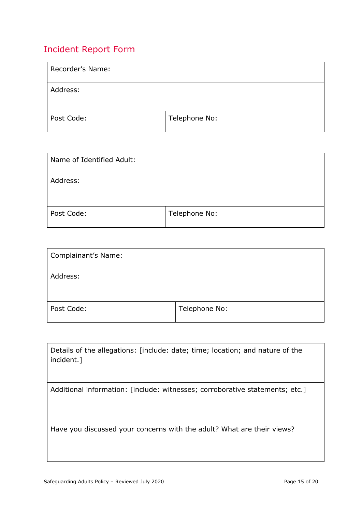## Incident Report Form

| Recorder's Name: |               |
|------------------|---------------|
| Address:         |               |
| Post Code:       | Telephone No: |

| Name of Identified Adult: |               |
|---------------------------|---------------|
| Address:                  |               |
| Post Code:                | Telephone No: |

| Complainant's Name: |               |
|---------------------|---------------|
| Address:            |               |
| Post Code:          | Telephone No: |

| Details of the allegations: [include: date; time; location; and nature of the<br>incident.] |
|---------------------------------------------------------------------------------------------|
| Additional information: [include: witnesses; corroborative statements; etc.]                |
|                                                                                             |
|                                                                                             |
|                                                                                             |
|                                                                                             |
| Have you discussed your concerns with the adult? What are their views?                      |
|                                                                                             |
|                                                                                             |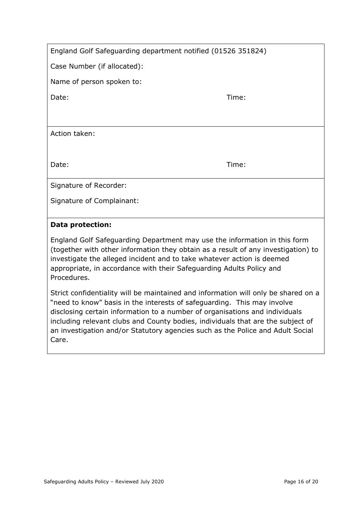| England Golf Safeguarding department notified (01526 351824) |  |
|--------------------------------------------------------------|--|
|--------------------------------------------------------------|--|

Case Number (if allocated):

Name of person spoken to:

Date: Time: Time: The Solution of the Solution of the Solution of the Time: Time:

Action taken:

Date: Time: Time: Time: Time: Time: Time: Time: Time: Time: Time: Time: Time: Time: Time: Time: Time: Time: Time: Time: Time: Time: Time: Time: Time: Time: Time: Time: Time: Time: Time: Time: Time: Time: Time: Time: Time:

Signature of Recorder:

Signature of Complainant:

#### **Data protection:**

England Golf Safeguarding Department may use the information in this form (together with other information they obtain as a result of any investigation) to investigate the alleged incident and to take whatever action is deemed appropriate, in accordance with their Safeguarding Adults Policy and Procedures.

Strict confidentiality will be maintained and information will only be shared on a "need to know" basis in the interests of safeguarding. This may involve disclosing certain information to a number of organisations and individuals including relevant clubs and County bodies, individuals that are the subject of an investigation and/or Statutory agencies such as the Police and Adult Social Care.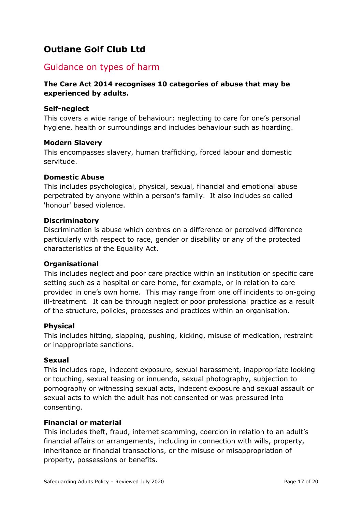## <span id="page-16-0"></span>**Outlane Golf Club Ltd**

## Guidance on types of harm

#### **The Care Act 2014 recognises 10 categories of abuse that may be experienced by adults.**

#### **Self-neglect**

This covers a wide range of behaviour: neglecting to care for one's personal hygiene, health or surroundings and includes behaviour such as hoarding.

#### **Modern Slavery**

This encompasses slavery, human trafficking, forced labour and domestic servitude.

#### **Domestic Abuse**

This includes psychological, physical, sexual, financial and emotional abuse perpetrated by anyone within a person's family. It also includes so called 'honour' based violence.

#### **Discriminatory**

Discrimination is abuse which centres on a difference or perceived difference particularly with respect to race, gender or disability or any of the protected characteristics of the Equality Act.

#### **Organisational**

This includes neglect and poor care practice within an institution or specific care setting such as a hospital or care home, for example, or in relation to care provided in one's own home. This may range from one off incidents to on-going ill-treatment. It can be through neglect or poor professional practice as a result of the structure, policies, processes and practices within an organisation.

#### **Physical**

This includes hitting, slapping, pushing, kicking, misuse of medication, restraint or inappropriate sanctions.

#### **Sexual**

This includes rape, indecent exposure, sexual harassment, inappropriate looking or touching, sexual teasing or innuendo, sexual photography, subjection to pornography or witnessing sexual acts, indecent exposure and sexual assault or sexual acts to which the adult has not consented or was pressured into consenting.

#### **Financial or material**

This includes theft, fraud, internet scamming, coercion in relation to an adult's financial affairs or arrangements, including in connection with wills, property, inheritance or financial transactions, or the misuse or misappropriation of property, possessions or benefits.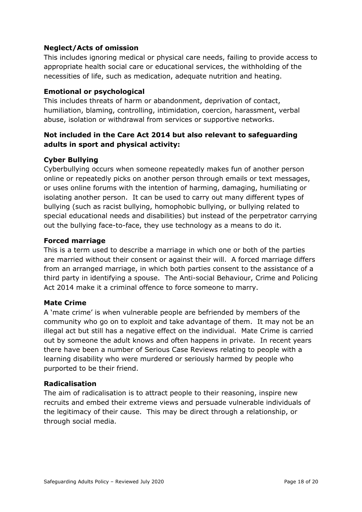#### **Neglect/Acts of omission**

This includes ignoring medical or physical care needs, failing to provide access to appropriate health social care or educational services, the withholding of the necessities of life, such as medication, adequate nutrition and heating.

#### **Emotional or psychological**

This includes threats of harm or abandonment, deprivation of contact, humiliation, blaming, controlling, intimidation, coercion, harassment, verbal abuse, isolation or withdrawal from services or supportive networks.

#### **Not included in the Care Act 2014 but also relevant to safeguarding adults in sport and physical activity:**

#### **Cyber Bullying**

Cyberbullying occurs when someone repeatedly makes fun of another person online or repeatedly picks on another person through emails or text messages, or uses online forums with the intention of harming, damaging, humiliating or isolating another person. It can be used to carry out many different types of bullying (such as racist bullying, homophobic bullying, or bullying related to special educational needs and disabilities) but instead of the perpetrator carrying out the bullying face-to-face, they use technology as a means to do it.

#### **Forced marriage**

This is a term used to describe a marriage in which one or both of the parties are married without their consent or against their will. A forced marriage differs from an arranged marriage, in which both parties consent to the assistance of a third party in identifying a spouse. The Anti-social Behaviour, Crime and Policing Act 2014 make it a criminal offence to force someone to marry.

#### **Mate Crime**

A 'mate crime' is when vulnerable people are befriended by members of the community who go on to exploit and take advantage of them. It may not be an illegal act but still has a negative effect on the individual. Mate Crime is carried out by someone the adult knows and often happens in private. In recent years there have been a number of Serious Case Reviews relating to people with a learning disability who were murdered or seriously harmed by people who purported to be their friend.

#### **Radicalisation**

The aim of radicalisation is to attract people to their reasoning, inspire new recruits and embed their extreme views and persuade vulnerable individuals of the legitimacy of their cause. This may be direct through a relationship, or through social media.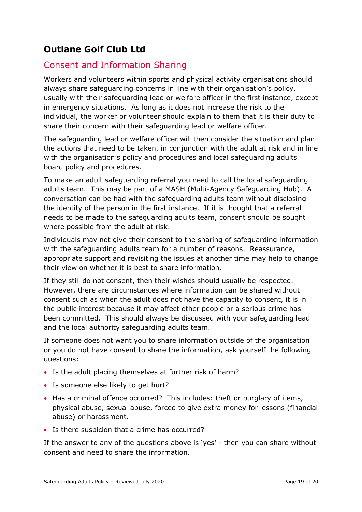## <span id="page-18-0"></span>**Outlane Golf Club Ltd**

## Consent and Information Sharing

Workers and volunteers within sports and physical activity organisations should always share safeguarding concerns in line with their organisation's policy, usually with their safeguarding lead or welfare officer in the first instance, except in emergency situations. As long as it does not increase the risk to the individual, the worker or volunteer should explain to them that it is their duty to share their concern with their safeguarding lead or welfare officer.

The safeguarding lead or welfare officer will then consider the situation and plan the actions that need to be taken, in conjunction with the adult at risk and in line with the organisation's policy and procedures and local safeguarding adults board policy and procedures.

To make an adult safeguarding referral you need to call the local safeguarding adults team. This may be part of a MASH (Multi*-*Agency Safeguarding Hub). A conversation can be had with the safeguarding adults team without disclosing the identity of the person in the first instance. If it is thought that a referral needs to be made to the safeguarding adults team, consent should be sought where possible from the adult at risk.

Individuals may not give their consent to the sharing of safeguarding information with the safeguarding adults team for a number of reasons. Reassurance, appropriate support and revisiting the issues at another time may help to change their view on whether it is best to share information.

If they still do not consent, then their wishes should usually be respected. However, there are circumstances where information can be shared without consent such as when the adult does not have the capacity to consent, it is in the public interest because it may affect other people or a serious crime has been committed. This should always be discussed with your safeguarding lead and the local authority safeguarding adults team.

If someone does not want you to share information outside of the organisation or you do not have consent to share the information, ask yourself the following questions:

- Is the adult placing themselves at further risk of harm?
- Is someone else likely to get hurt?
- Has a criminal offence occurred? This includes: theft or burglary of items, physical abuse, sexual abuse, forced to give extra money for lessons (financial abuse) or harassment.
- Is there suspicion that a crime has occurred?

If the answer to any of the questions above is 'yes' - then you can share without consent and need to share the information.